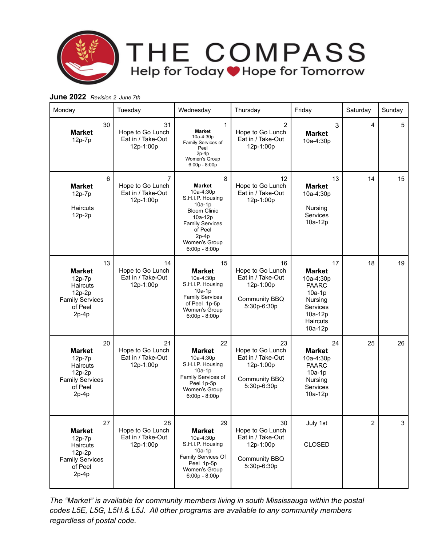

#### **June 2022** *Revision 2 June 7th*

| Monday                                                                                                       | Tuesday                                                              | Wednesday                                                                                                                                                                             | Thursday                                                                                 | Friday                                                                                                                       | Saturday       | Sunday |
|--------------------------------------------------------------------------------------------------------------|----------------------------------------------------------------------|---------------------------------------------------------------------------------------------------------------------------------------------------------------------------------------|------------------------------------------------------------------------------------------|------------------------------------------------------------------------------------------------------------------------------|----------------|--------|
| 30<br><b>Market</b><br>12p-7p                                                                                | 31<br>Hope to Go Lunch<br>Eat in / Take-Out<br>12p-1:00p             | 1<br><b>Market</b><br>10a-4:30p<br>Family Services of<br>Peel<br>$2p-4p$<br>Women's Group<br>$6:00p - 8:00p$                                                                          | 2<br>Hope to Go Lunch<br>Eat in / Take-Out<br>12p-1:00p                                  | 3<br><b>Market</b><br>10a-4:30p                                                                                              | 4              | 5      |
| 6<br><b>Market</b><br>12p-7p<br><b>Haircuts</b><br>12p-2p                                                    | $\overline{7}$<br>Hope to Go Lunch<br>Eat in / Take-Out<br>12p-1:00p | 8<br><b>Market</b><br>10a-4:30p<br>S.H.I.P. Housing<br>$10a-1p$<br><b>Bloom Clinic</b><br>10a-12p<br><b>Family Services</b><br>of Peel<br>$2p-4p$<br>Women's Group<br>$6:00p - 8:00p$ | 12<br>Hope to Go Lunch<br>Eat in / Take-Out<br>12p-1:00p                                 | 13<br><b>Market</b><br>10a-4:30p<br>Nursing<br>Services<br>10a-12p                                                           | 14             | 15     |
| 13<br><b>Market</b><br>$12p-7p$<br>Haircuts<br>$12p-2p$<br><b>Family Services</b><br>of Peel<br>$2p-4p$      | 14<br>Hope to Go Lunch<br>Eat in / Take-Out<br>12p-1:00p             | 15<br><b>Market</b><br>10a-4:30p<br>S.H.I.P. Housing<br>$10a-1p$<br><b>Family Services</b><br>of Peel 1p-5p<br>Women's Group<br>$6:00p - 8:00p$                                       | 16<br>Hope to Go Lunch<br>Eat in / Take-Out<br>12p-1:00p<br>Community BBQ<br>5:30p-6:30p | 17<br><b>Market</b><br>10a-4:30p<br><b>PAARC</b><br>$10a-1p$<br>Nursing<br>Services<br>10a-12p<br><b>Haircuts</b><br>10a-12p | 18             | 19     |
| 20<br><b>Market</b><br>12p-7p<br><b>Haircuts</b><br>12p-2p<br><b>Family Services</b><br>of Peel<br>$2p-4p$   | 21<br>Hope to Go Lunch<br>Eat in / Take-Out<br>12p-1:00p             | 22<br><b>Market</b><br>10a-4:30p<br>S.H.I.P. Housing<br>$10a-1p$<br>Family Services of<br>Peel 1p-5p<br>Women's Group<br>$6:00p - 8:00p$                                              | 23<br>Hope to Go Lunch<br>Eat in / Take-Out<br>12p-1:00p<br>Community BBQ<br>5:30p-6:30p | 24<br><b>Market</b><br>10a-4:30p<br><b>PAARC</b><br>$10a-1p$<br>Nursing<br>Services<br>10a-12p                               | 25             | 26     |
| 27<br><b>Market</b><br>$12p-7p$<br><b>Haircuts</b><br>12p-2p<br><b>Family Services</b><br>of Peel<br>$2p-4p$ | 28<br>Hope to Go Lunch<br>Eat in / Take-Out<br>12p-1:00p             | 29<br><b>Market</b><br>10a-4:30p<br>S.H.I.P. Housing<br>$10a-1p$<br>Family Services Of<br>Peel 1p-5p<br>Women's Group<br>$6:00p - 8:00p$                                              | 30<br>Hope to Go Lunch<br>Eat in / Take-Out<br>12p-1:00p<br>Community BBQ<br>5:30p-6:30p | July 1st<br><b>CLOSED</b>                                                                                                    | $\overline{2}$ | 3      |

*The "Market" is available for community members living in south Mississauga within the postal codes L5E, L5G, L5H.& L5J. All other programs are available to any community members regardless of postal code.*